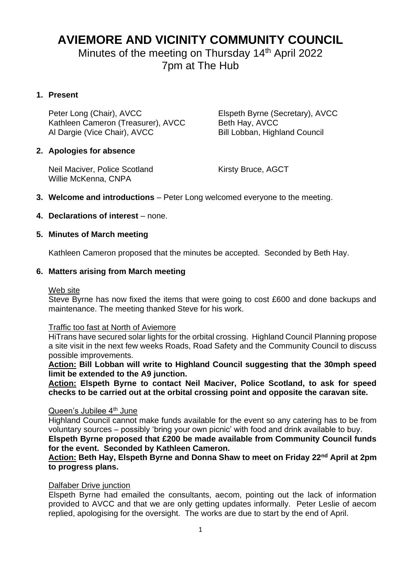## **AVIEMORE AND VICINITY COMMUNITY COUNCIL**

Minutes of the meeting on Thursday 14<sup>th</sup> April 2022 7pm at The Hub

## **1. Present**

Peter Long (Chair), AVCC Elspeth Byrne (Secretary), AVCC Kathleen Cameron (Treasurer), AVCC Beth Hay, AVCC<br>Al Dargie (Vice Chair), AVCC Bill Lobban, Highland Council Al Dargie (Vice Chair), AVCC

## **2. Apologies for absence**

Neil Maciver, Police Scotland Kirsty Bruce, AGCT Willie McKenna, CNPA

**3. Welcome and introductions** – Peter Long welcomed everyone to the meeting.

## **4. Declarations of interest** – none.

#### **5. Minutes of March meeting**

Kathleen Cameron proposed that the minutes be accepted. Seconded by Beth Hay.

#### **6. Matters arising from March meeting**

#### Web site

Steve Byrne has now fixed the items that were going to cost £600 and done backups and maintenance. The meeting thanked Steve for his work.

#### Traffic too fast at North of Aviemore

HiTrans have secured solar lights for the orbital crossing. Highland Council Planning propose a site visit in the next few weeks Roads, Road Safety and the Community Council to discuss possible improvements.

**Action: Bill Lobban will write to Highland Council suggesting that the 30mph speed limit be extended to the A9 junction.**

**Action: Elspeth Byrne to contact Neil Maciver, Police Scotland, to ask for speed checks to be carried out at the orbital crossing point and opposite the caravan site.**

#### Queen's Jubilee 4<sup>th</sup> June

Highland Council cannot make funds available for the event so any catering has to be from voluntary sources – possibly 'bring your own picnic' with food and drink available to buy.

**Elspeth Byrne proposed that £200 be made available from Community Council funds for the event. Seconded by Kathleen Cameron.**

## **Action: Beth Hay, Elspeth Byrne and Donna Shaw to meet on Friday 22nd April at 2pm to progress plans.**

#### Dalfaber Drive junction

Elspeth Byrne had emailed the consultants, aecom, pointing out the lack of information provided to AVCC and that we are only getting updates informally. Peter Leslie of aecom replied, apologising for the oversight. The works are due to start by the end of April.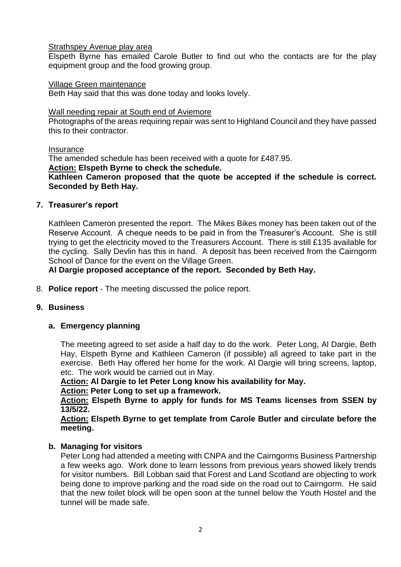#### Strathspey Avenue play area

Elspeth Byrne has emailed Carole Butler to find out who the contacts are for the play equipment group and the food growing group.

#### Village Green maintenance

Beth Hay said that this was done today and looks lovely.

#### Wall needing repair at South end of Aviemore

Photographs of the areas requiring repair was sent to Highland Council and they have passed this to their contractor.

#### Insurance

The amended schedule has been received with a quote for £487.95.

**Action: Elspeth Byrne to check the schedule.**

#### **Kathleen Cameron proposed that the quote be accepted if the schedule is correct. Seconded by Beth Hay.**

#### **7. Treasurer's report**

Kathleen Cameron presented the report. The Mikes Bikes money has been taken out of the Reserve Account. A cheque needs to be paid in from the Treasurer's Account. She is still trying to get the electricity moved to the Treasurers Account. There is still £135 available for the cycling. Sally Devlin has this in hand. A deposit has been received from the Cairngorm School of Dance for the event on the Village Green.

#### **Al Dargie proposed acceptance of the report. Seconded by Beth Hay.**

8. **Police report** - The meeting discussed the police report.

#### **9. Business**

#### **a. Emergency planning**

The meeting agreed to set aside a half day to do the work. Peter Long, Al Dargie, Beth Hay, Elspeth Byrne and Kathleen Cameron (if possible) all agreed to take part in the exercise. Beth Hay offered her home for the work. Al Dargie will bring screens, laptop, etc. The work would be carried out in May.

**Action: Al Dargie to let Peter Long know his availability for May.**

**Action: Peter Long to set up a framework.**

**Action: Elspeth Byrne to apply for funds for MS Teams licenses from SSEN by 13/5/22.**

**Action: Elspeth Byrne to get template from Carole Butler and circulate before the meeting.**

#### **b. Managing for visitors**

Peter Long had attended a meeting with CNPA and the Cairngorms Business Partnership a few weeks ago. Work done to learn lessons from previous years showed likely trends for visitor numbers. Bill Lobban said that Forest and Land Scotland are objecting to work being done to improve parking and the road side on the road out to Cairngorm. He said that the new toilet block will be open soon at the tunnel below the Youth Hostel and the tunnel will be made safe.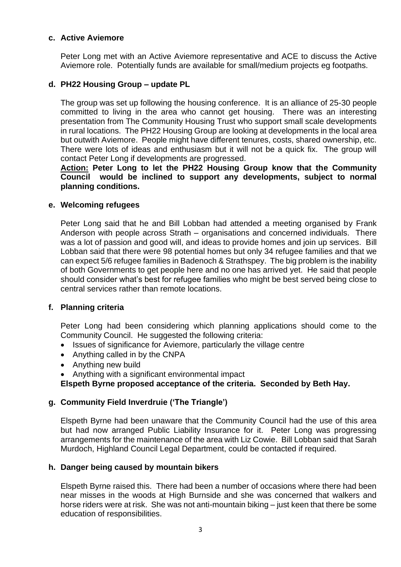#### **c. Active Aviemore**

Peter Long met with an Active Aviemore representative and ACE to discuss the Active Aviemore role. Potentially funds are available for small/medium projects eg footpaths.

#### **d. PH22 Housing Group – update PL**

The group was set up following the housing conference. It is an alliance of 25-30 people committed to living in the area who cannot get housing. There was an interesting presentation from The Community Housing Trust who support small scale developments in rural locations. The PH22 Housing Group are looking at developments in the local area but outwith Aviemore. People might have different tenures, costs, shared ownership, etc. There were lots of ideas and enthusiasm but it will not be a quick fix. The group will contact Peter Long if developments are progressed.

**Action: Peter Long to let the PH22 Housing Group know that the Community Council would be inclined to support any developments, subject to normal planning conditions.**

#### **e. Welcoming refugees**

Peter Long said that he and Bill Lobban had attended a meeting organised by Frank Anderson with people across Strath – organisations and concerned individuals. There was a lot of passion and good will, and ideas to provide homes and join up services. Bill Lobban said that there were 98 potential homes but only 34 refugee families and that we can expect 5/6 refugee families in Badenoch & Strathspey. The big problem is the inability of both Governments to get people here and no one has arrived yet. He said that people should consider what's best for refugee families who might be best served being close to central services rather than remote locations.

#### **f. Planning criteria**

Peter Long had been considering which planning applications should come to the Community Council. He suggested the following criteria:

- Issues of significance for Aviemore, particularly the village centre
- Anything called in by the CNPA
- Anything new build
- Anything with a significant environmental impact

**Elspeth Byrne proposed acceptance of the criteria. Seconded by Beth Hay.**

#### **g. Community Field Inverdruie ('The Triangle')**

Elspeth Byrne had been unaware that the Community Council had the use of this area but had now arranged Public Liability Insurance for it. Peter Long was progressing arrangements for the maintenance of the area with Liz Cowie. Bill Lobban said that Sarah Murdoch, Highland Council Legal Department, could be contacted if required.

#### **h. Danger being caused by mountain bikers**

Elspeth Byrne raised this. There had been a number of occasions where there had been near misses in the woods at High Burnside and she was concerned that walkers and horse riders were at risk. She was not anti-mountain biking – just keen that there be some education of responsibilities.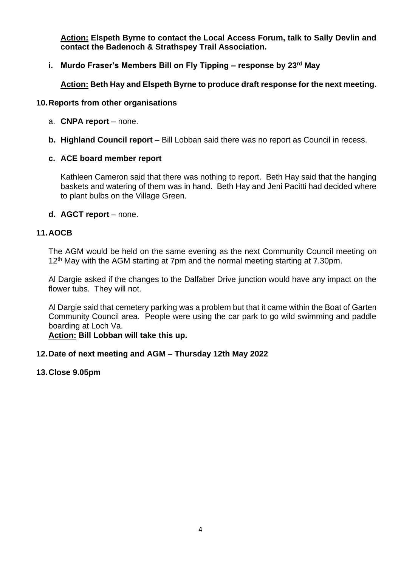**Action: Elspeth Byrne to contact the Local Access Forum, talk to Sally Devlin and contact the Badenoch & Strathspey Trail Association.**

**i. Murdo Fraser's Members Bill on Fly Tipping – response by 23rd May**

**Action: Beth Hay and Elspeth Byrne to produce draft response for the next meeting.**

#### **10.Reports from other organisations**

- a. **CNPA report** none.
- **b. Highland Council report** Bill Lobban said there was no report as Council in recess.

## **c. ACE board member report**

Kathleen Cameron said that there was nothing to report. Beth Hay said that the hanging baskets and watering of them was in hand. Beth Hay and Jeni Pacitti had decided where to plant bulbs on the Village Green.

## **d. AGCT report** – none.

## **11.AOCB**

The AGM would be held on the same evening as the next Community Council meeting on 12<sup>th</sup> May with the AGM starting at 7pm and the normal meeting starting at 7.30pm.

Al Dargie asked if the changes to the Dalfaber Drive junction would have any impact on the flower tubs. They will not.

Al Dargie said that cemetery parking was a problem but that it came within the Boat of Garten Community Council area. People were using the car park to go wild swimming and paddle boarding at Loch Va.

#### **Action: Bill Lobban will take this up.**

## **12.Date of next meeting and AGM – Thursday 12th May 2022**

**13.Close 9.05pm**